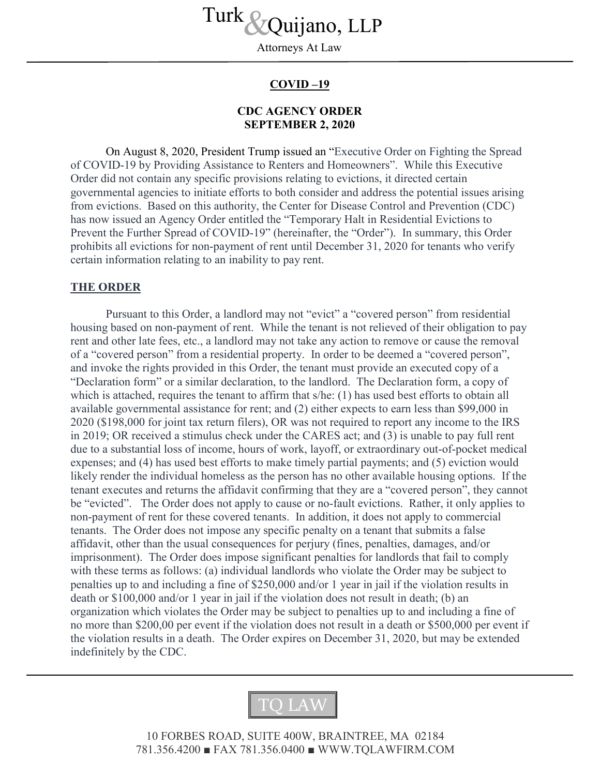Turk *S*<br>
Attorneys At Law

Attorneys At Law

## **COVID –19**

## **CDC AGENCY ORDER SEPTEMBER 2, 2020**

On August 8, 2020, President Trump issued an "Executive Order on Fighting the Spread of COVID-19 by Providing Assistance to Renters and Homeowners". While this Executive Order did not contain any specific provisions relating to evictions, it directed certain governmental agencies to initiate efforts to both consider and address the potential issues arising from evictions. Based on this authority, the Center for Disease Control and Prevention (CDC) has now issued an Agency Order entitled the "Temporary Halt in Residential Evictions to Prevent the Further Spread of COVID-19" (hereinafter, the "Order"). In summary, this Order prohibits all evictions for non-payment of rent until December 31, 2020 for tenants who verify certain information relating to an inability to pay rent.

## **THE ORDER**

Pursuant to this Order, a landlord may not "evict" a "covered person" from residential housing based on non-payment of rent. While the tenant is not relieved of their obligation to pay rent and other late fees, etc., a landlord may not take any action to remove or cause the removal of a "covered person" from a residential property. In order to be deemed a "covered person", and invoke the rights provided in this Order, the tenant must provide an executed copy of a "Declaration form" or a similar declaration, to the landlord. The Declaration form, a copy of which is attached, requires the tenant to affirm that s/he: (1) has used best efforts to obtain all available governmental assistance for rent; and (2) either expects to earn less than \$99,000 in 2020 (\$198,000 for joint tax return filers), OR was not required to report any income to the IRS in 2019; OR received a stimulus check under the CARES act; and (3) is unable to pay full rent due to a substantial loss of income, hours of work, layoff, or extraordinary out-of-pocket medical expenses; and (4) has used best efforts to make timely partial payments; and (5) eviction would likely render the individual homeless as the person has no other available housing options. If the tenant executes and returns the affidavit confirming that they are a "covered person", they cannot be "evicted". The Order does not apply to cause or no-fault evictions. Rather, it only applies to non-payment of rent for these covered tenants. In addition, it does not apply to commercial tenants. The Order does not impose any specific penalty on a tenant that submits a false affidavit, other than the usual consequences for perjury (fines, penalties, damages, and/or imprisonment). The Order does impose significant penalties for landlords that fail to comply with these terms as follows: (a) individual landlords who violate the Order may be subject to penalties up to and including a fine of \$250,000 and/or 1 year in jail if the violation results in death or \$100,000 and/or 1 year in jail if the violation does not result in death; (b) an organization which violates the Order may be subject to penalties up to and including a fine of no more than \$200,00 per event if the violation does not result in a death or \$500,000 per event if the violation results in a death. The Order expires on December 31, 2020, but may be extended indefinitely by the CDC.



10 FORBES ROAD, SUITE 400W, BRAINTREE, MA 02184 781.356.4200 ■ FAX 781.356.0400 ■ WWW.TQLAWFIRM.COM